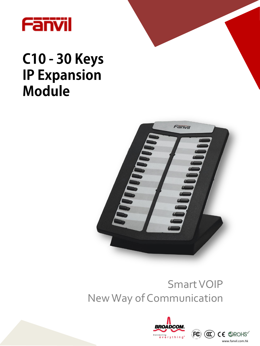

# C10 - 30 Keys **IP Expansion Module**



## Smart VOIP New Way of Communication

![](_page_0_Picture_4.jpeg)

![](_page_0_Picture_5.jpeg)